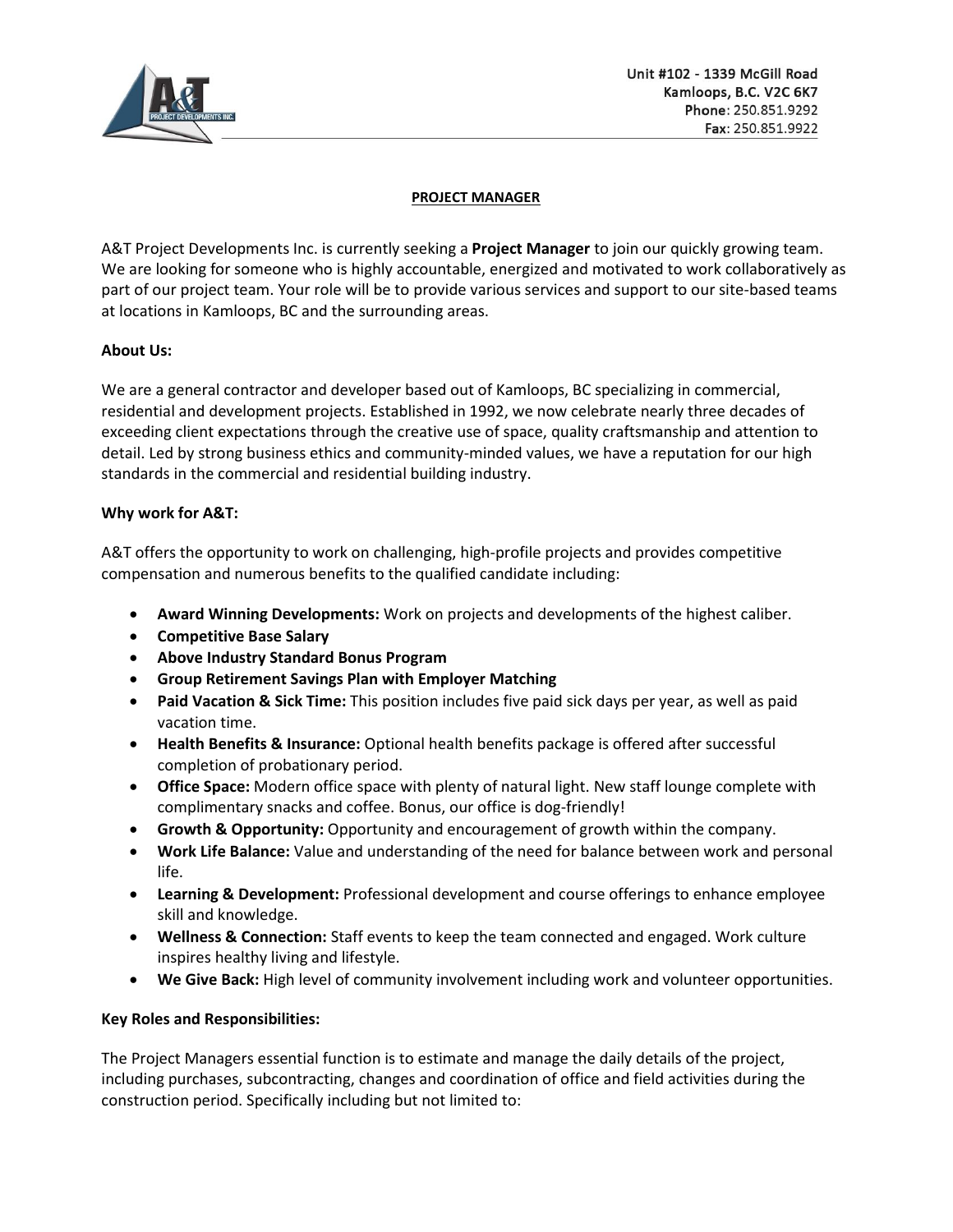

## **PROJECT MANAGER**

A&T Project Developments Inc. is currently seeking a **Project Manager** to join our quickly growing team. We are looking for someone who is highly accountable, energized and motivated to work collaboratively as part of our project team. Your role will be to provide various services and support to our site-based teams at locations in Kamloops, BC and the surrounding areas.

# **About Us:**

We are a general contractor and developer based out of Kamloops, BC specializing in commercial, residential and development projects. Established in 1992, we now celebrate nearly three decades of exceeding client expectations through the creative use of space, quality craftsmanship and attention to detail. Led by strong business ethics and community-minded values, we have a reputation for our high standards in the commercial and residential building industry.

# **Why work for A&T:**

A&T offers the opportunity to work on challenging, high-profile projects and provides competitive compensation and numerous benefits to the qualified candidate including:

- **Award Winning Developments:** Work on projects and developments of the highest caliber.
- **Competitive Base Salary**
- **Above Industry Standard Bonus Program**
- **Group Retirement Savings Plan with Employer Matching**
- **Paid Vacation & Sick Time:** This position includes five paid sick days per year, as well as paid vacation time.
- **Health Benefits & Insurance:** Optional health benefits package is offered after successful completion of probationary period.
- **Office Space:** Modern office space with plenty of natural light. New staff lounge complete with complimentary snacks and coffee. Bonus, our office is dog-friendly!
- **Growth & Opportunity:** Opportunity and encouragement of growth within the company.
- **Work Life Balance:** Value and understanding of the need for balance between work and personal life.
- **Learning & Development:** Professional development and course offerings to enhance employee skill and knowledge.
- **Wellness & Connection:** Staff events to keep the team connected and engaged. Work culture inspires healthy living and lifestyle.
- **We Give Back:** High level of community involvement including work and volunteer opportunities.

# **Key Roles and Responsibilities:**

The Project Managers essential function is to estimate and manage the daily details of the project, including purchases, subcontracting, changes and coordination of office and field activities during the construction period. Specifically including but not limited to: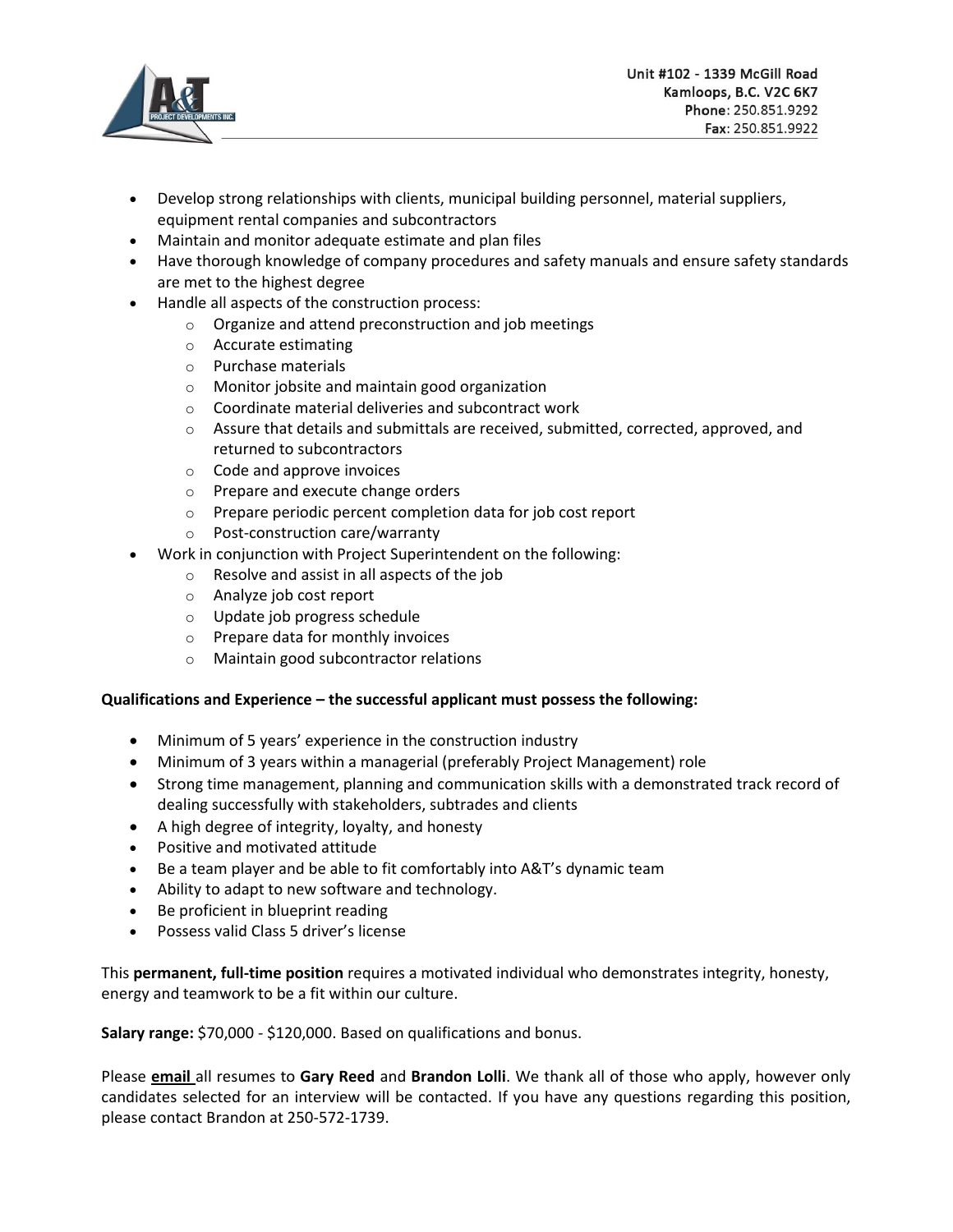

- Develop strong relationships with clients, municipal building personnel, material suppliers, equipment rental companies and subcontractors
- Maintain and monitor adequate estimate and plan files
- Have thorough knowledge of company procedures and safety manuals and ensure safety standards are met to the highest degree
- Handle all aspects of the construction process:
	- o Organize and attend preconstruction and job meetings
	- o Accurate estimating
	- o Purchase materials
	- o Monitor jobsite and maintain good organization
	- o Coordinate material deliveries and subcontract work
	- o Assure that details and submittals are received, submitted, corrected, approved, and returned to subcontractors
	- o Code and approve invoices
	- o Prepare and execute change orders
	- o Prepare periodic percent completion data for job cost report
	- o Post-construction care/warranty
- Work in conjunction with Project Superintendent on the following:
	- o Resolve and assist in all aspects of the job
	- o Analyze job cost report
	- o Update job progress schedule
	- o Prepare data for monthly invoices
	- o Maintain good subcontractor relations

# **Qualifications and Experience – the successful applicant must possess the following:**

- Minimum of 5 years' experience in the construction industry
- Minimum of 3 years within a managerial (preferably Project Management) role
- Strong time management, planning and communication skills with a demonstrated track record of dealing successfully with stakeholders, subtrades and clients
- A high degree of integrity, loyalty, and honesty
- Positive and motivated attitude
- Be a team player and be able to fit comfortably into A&T's dynamic team
- Ability to adapt to new software and technology.
- Be proficient in blueprint reading
- Possess valid Class 5 driver's license

This **permanent, full-time position** requires a motivated individual who demonstrates integrity, honesty, energy and teamwork to be a fit within our culture.

**Salary range:** \$70,000 - \$120,000. Based on qualifications and bonus.

Please **email** all resumes to **Gary Reed** and **Brandon Lolli**. We thank all of those who apply, however only candidates selected for an interview will be contacted. If you have any questions regarding this position, please contact Brandon at 250-572-1739.